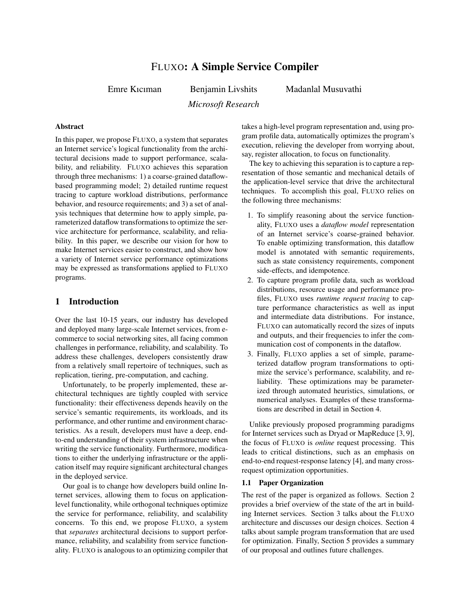# FLUXO: A Simple Service Compiler

Emre Kıcıman Benjamin Livshits

Madanlal Musuvathi

*Microsoft Research*

## Abstract

In this paper, we propose FLUXO, a system that separates an Internet service's logical functionality from the architectural decisions made to support performance, scalability, and reliability. FLUXO achieves this separation through three mechanisms: 1) a coarse-grained dataflowbased programming model; 2) detailed runtime request tracing to capture workload distributions, performance behavior, and resource requirements; and 3) a set of analysis techniques that determine how to apply simple, parameterized dataflow transformations to optimize the service architecture for performance, scalability, and reliability. In this paper, we describe our vision for how to make Internet services easier to construct, and show how a variety of Internet service performance optimizations may be expressed as transformations applied to FLUXO programs.

## 1 Introduction

Over the last 10-15 years, our industry has developed and deployed many large-scale Internet services, from ecommerce to social networking sites, all facing common challenges in performance, reliability, and scalability. To address these challenges, developers consistently draw from a relatively small repertoire of techniques, such as replication, tiering, pre-computation, and caching.

Unfortunately, to be properly implemented, these architectural techniques are tightly coupled with service functionality: their effectiveness depends heavily on the service's semantic requirements, its workloads, and its performance, and other runtime and environment characteristics. As a result, developers must have a deep, endto-end understanding of their system infrastructure when writing the service functionality. Furthermore, modifications to either the underlying infrastructure or the application itself may require significant architectural changes in the deployed service.

Our goal is to change how developers build online Internet services, allowing them to focus on applicationlevel functionality, while orthogonal techniques optimize the service for performance, reliability, and scalability concerns. To this end, we propose FLUXO, a system that *separates* architectural decisions to support performance, reliability, and scalability from service functionality. FLUXO is analogous to an optimizing compiler that takes a high-level program representation and, using program profile data, automatically optimizes the program's execution, relieving the developer from worrying about, say, register allocation, to focus on functionality.

The key to achieving this separation is to capture a representation of those semantic and mechanical details of the application-level service that drive the architectural techniques. To accomplish this goal, FLUXO relies on the following three mechanisms:

- 1. To simplify reasoning about the service functionality, FLUXO uses a *dataflow model* representation of an Internet service's coarse-grained behavior. To enable optimizing transformation, this dataflow model is annotated with semantic requirements, such as state consistency requirements, component side-effects, and idempotence.
- 2. To capture program profile data, such as workload distributions, resource usage and performance profiles, FLUXO uses *runtime request tracing* to capture performance characteristics as well as input and intermediate data distributions. For instance, FLUXO can automatically record the sizes of inputs and outputs, and their frequencies to infer the communication cost of components in the dataflow.
- 3. Finally, FLUXO applies a set of simple, parameterized dataflow program transformations to optimize the service's performance, scalability, and reliability. These optimizations may be parameterized through automated heuristics, simulations, or numerical analyses. Examples of these transformations are described in detail in Section 4.

Unlike previously proposed programming paradigms for Internet services such as Dryad or MapReduce [3, 9], the focus of FLUXO is *online* request processing. This leads to critical distinctions, such as an emphasis on end-to-end request-response latency [4], and many crossrequest optimization opportunities.

### 1.1 Paper Organization

The rest of the paper is organized as follows. Section 2 provides a brief overview of the state of the art in building Internet services. Section 3 talks about the FLUXO architecture and discusses our design choices. Section 4 talks about sample program transformation that are used for optimization. Finally, Section 5 provides a summary of our proposal and outlines future challenges.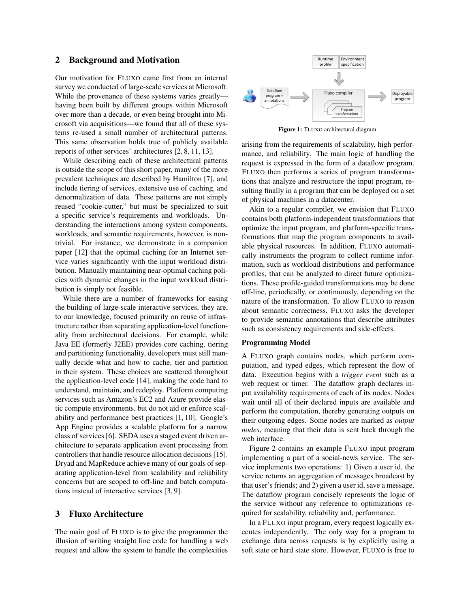### 2 Background and Motivation

Our motivation for FLUXO came first from an internal survey we conducted of large-scale services at Microsoft. While the provenance of these systems varies greatly having been built by different groups within Microsoft over more than a decade, or even being brought into Microsoft via acquisitions—we found that all of these systems re-used a small number of architectural patterns. This same observation holds true of publicly available reports of other services' architectures [2, 8, 11, 13].

While describing each of these architectural patterns is outside the scope of this short paper, many of the more prevalent techniques are described by Hamilton [7], and include tiering of services, extensive use of caching, and denormalization of data. These patterns are not simply reused "cookie-cutter," but must be specialized to suit a specific service's requirements and workloads. Understanding the interactions among system components, workloads, and semantic requirements, however, is nontrivial. For instance, we demonstrate in a companion paper [12] that the optimal caching for an Internet service varies significantly with the input workload distribution. Manually maintaining near-optimal caching policies with dynamic changes in the input workload distribution is simply not feasible.

While there are a number of frameworks for easing the building of large-scale interactive services, they are, to our knowledge, focused primarily on reuse of infrastructure rather than separating application-level functionality from architectural decisions. For example, while Java EE (formerly J2EE) provides core caching, tiering and partitioning functionality, developers must still manually decide what and how to cache, tier and partition in their system. These choices are scattered throughout the application-level code [14], making the code hard to understand, maintain, and redeploy. Platform computing services such as Amazon's EC2 and Azure provide elastic compute environments, but do not aid or enforce scalability and performance best practices [1, 10]. Google's App Engine provides a scalable platform for a narrow class of services [6]. SEDA uses a staged event driven architecture to separate application event processing from controllers that handle resource allocation decisions [15]. Dryad and MapReduce achieve many of our goals of separating application-level from scalability and reliability concerns but are scoped to off-line and batch computations instead of interactive services [3, 9].

### 3 Fluxo Architecture

The main goal of FLUXO is to give the programmer the illusion of writing straight line code for handling a web request and allow the system to handle the complexities



Figure 1: FLUXO architectural diagram.

arising from the requirements of scalability, high performance, and reliability. The main logic of handling the request is expressed in the form of a dataflow program. FLUXO then performs a series of program transformations that analyze and restructure the input program, resulting finally in a program that can be deployed on a set of physical machines in a datacenter.

Akin to a regular compiler, we envision that FLUXO contains both platform-independent transformations that optimize the input program, and platform-specific transformations that map the program components to available physical resources. In addition, FLUXO automatically instruments the program to collect runtime information, such as workload distributions and performance profiles, that can be analyzed to direct future optimizations. These profile-guided transformations may be done off-line, periodically, or continuously, depending on the nature of the transformation. To allow FLUXO to reason about semantic correctness, FLUXO asks the developer to provide semantic annotations that describe attributes such as consistency requirements and side-effects.

#### Programming Model

A FLUXO graph contains nodes, which perform computation, and typed edges, which represent the flow of data. Execution begins with a *trigger event* such as a web request or timer. The dataflow graph declares input availability requirements of each of its nodes. Nodes wait until all of their declared inputs are available and perform the computation, thereby generating outputs on their outgoing edges. Some nodes are marked as *output nodes*, meaning that their data is sent back through the web interface.

Figure 2 contains an example FLUXO input program implementing a part of a social-news service. The service implements two operations: 1) Given a user id, the service returns an aggregation of messages broadcast by that user's friends; and 2) given a user id, save a message. The dataflow program concisely represents the logic of the service without any reference to optimizations required for scalability, reliability and, performance.

In a FLUXO input program, every request logically executes independently. The only way for a program to exchange data across requests is by explicitly using a soft state or hard state store. However, FLUXO is free to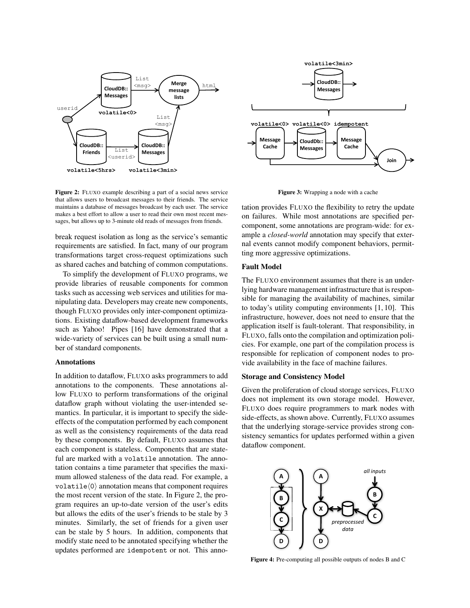

Figure 2: FLUXO example describing a part of a social news service that allows users to broadcast messages to their friends. The service maintains a database of messages broadcast by each user. The service makes a best effort to allow a user to read their own most recent messages, but allows up to 3-minute old reads of messages from friends.

break request isolation as long as the service's semantic requirements are satisfied. In fact, many of our program transformations target cross-request optimizations such as shared caches and batching of common computations.

To simplify the development of FLUXO programs, we provide libraries of reusable components for common tasks such as accessing web services and utilities for manipulating data. Developers may create new components, though FLUXO provides only inter-component optimizations. Existing dataflow-based development frameworks such as Yahoo! Pipes [16] have demonstrated that a wide-variety of services can be built using a small number of standard components.

#### Annotations

In addition to dataflow, FLUXO asks programmers to add annotations to the components. These annotations allow FLUXO to perform transformations of the original dataflow graph without violating the user-intended semantics. In particular, it is important to specify the sideeffects of the computation performed by each component as well as the consistency requirements of the data read by these components. By default, FLUXO assumes that each component is stateless. Components that are stateful are marked with a volatile annotation. The annotation contains a time parameter that specifies the maximum allowed staleness of the data read. For example, a volatile $\langle 0 \rangle$  annotation means that component requires the most recent version of the state. In Figure 2, the program requires an up-to-date version of the user's edits but allows the edits of the user's friends to be stale by 3 minutes. Similarly, the set of friends for a given user can be stale by 5 hours. In addition, components that modify state need to be annotated specifying whether the updates performed are idempotent or not. This anno-



Figure 3: Wrapping a node with a cache

tation provides FLUXO the flexibility to retry the update on failures. While most annotations are specified percomponent, some annotations are program-wide: for example a *closed-world* annotation may specify that external events cannot modify component behaviors, permitting more aggressive optimizations.

## Fault Model

The FLUXO environment assumes that there is an underlying hardware management infrastructure that is responsible for managing the availability of machines, similar to today's utility computing environments [1, 10]. This infrastructure, however, does not need to ensure that the application itself is fault-tolerant. That responsibility, in FLUXO, falls onto the compilation and optimization policies. For example, one part of the compilation process is responsible for replication of component nodes to provide availability in the face of machine failures.

#### Storage and Consistency Model

Given the proliferation of cloud storage services, FLUXO does not implement its own storage model. However, FLUXO does require programmers to mark nodes with side-effects, as shown above. Currently, FLUXO assumes that the underlying storage-service provides strong consistency semantics for updates performed within a given dataflow component.



Figure 4: Pre-computing all possible outputs of nodes B and C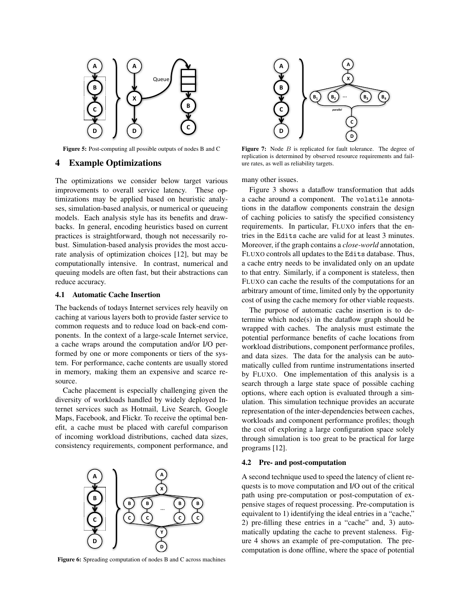

Figure 5: Post-computing all possible outputs of nodes B and C

## 4 Example Optimizations

The optimizations we consider below target various improvements to overall service latency. These optimizations may be applied based on heuristic analyses, simulation-based analysis, or numerical or queueing models. Each analysis style has its benefits and drawbacks. In general, encoding heuristics based on current practices is straightforward, though not necessarily robust. Simulation-based analysis provides the most accurate analysis of optimization choices [12], but may be computationally intensive. In contrast, numerical and queuing models are often fast, but their abstractions can reduce accuracy.

#### 4.1 Automatic Cache Insertion

The backends of todays Internet services rely heavily on caching at various layers both to provide faster service to common requests and to reduce load on back-end components. In the context of a large-scale Internet service, a cache wraps around the computation and/or I/O performed by one or more components or tiers of the system. For performance, cache contents are usually stored in memory, making them an expensive and scarce resource.

Cache placement is especially challenging given the diversity of workloads handled by widely deployed Internet services such as Hotmail, Live Search, Google Maps, Facebook, and Flickr. To receive the optimal benefit, a cache must be placed with careful comparison of incoming workload distributions, cached data sizes, consistency requirements, component performance, and



Figure 6: Spreading computation of nodes B and C across machines



Figure 7: Node  $B$  is replicated for fault tolerance. The degree of replication is determined by observed resource requirements and failure rates, as well as reliability targets.

many other issues.

Figure 3 shows a dataflow transformation that adds a cache around a component. The volatile annotations in the dataflow components constrain the design of caching policies to satisfy the specified consistency requirements. In particular, FLUXO infers that the entries in the Edits cache are valid for at least 3 minutes. Moreover, if the graph contains a *close-world* annotation, FLUXO controls all updates to the Edits database. Thus, a cache entry needs to be invalidated only on an update to that entry. Similarly, if a component is stateless, then FLUXO can cache the results of the computations for an arbitrary amount of time, limited only by the opportunity cost of using the cache memory for other viable requests.

The purpose of automatic cache insertion is to determine which node(s) in the dataflow graph should be wrapped with caches. The analysis must estimate the potential performance benefits of cache locations from workload distributions, component performance profiles, and data sizes. The data for the analysis can be automatically culled from runtime instrumentations inserted by FLUXO. One implementation of this analysis is a search through a large state space of possible caching options, where each option is evaluated through a simulation. This simulation technique provides an accurate representation of the inter-dependencies between caches, workloads and component performance profiles; though the cost of exploring a large configuration space solely through simulation is too great to be practical for large programs [12].

#### 4.2 Pre- and post-computation

A second technique used to speed the latency of client requests is to move computation and I/O out of the critical path using pre-computation or post-computation of expensive stages of request processing. Pre-computation is equivalent to 1) identifying the ideal entries in a "cache," 2) pre-filling these entries in a "cache" and, 3) automatically updating the cache to prevent staleness. Figure 4 shows an example of pre-computation. The precomputation is done offline, where the space of potential